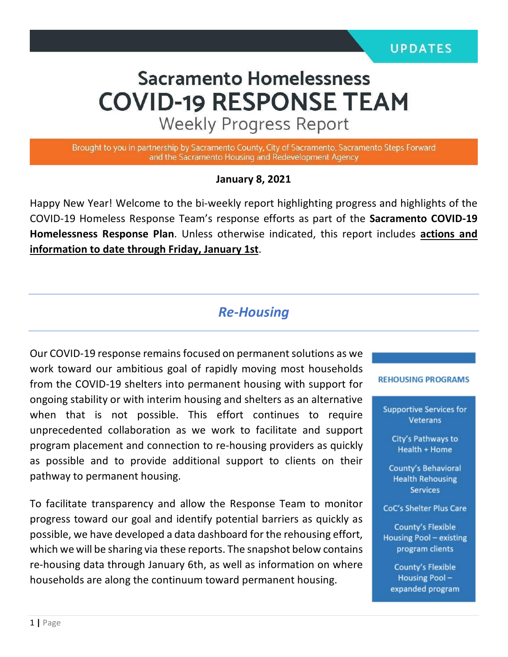# **Sacramento Homelessness COVID-19 RESPONSE TEAM**

**Weekly Progress Report** 

Brought to you in partnership by Sacramento County, City of Sacramento, Sacramento Steps Forward and the Sacramento Housing and Redevelopment Agency

#### **January 8, 2021**

Happy New Year! Welcome to the bi-weekly report highlighting progress and highlights of the COVID-19 Homeless Response Team's response efforts as part of the **Sacramento COVID-19 Homelessness Response Plan**. Unless otherwise indicated, this report includes **actions and information to date through Friday, January 1st**.

### *Re-Housing*

Our COVID-19 response remains focused on permanent solutions as we work toward our ambitious goal of rapidly moving most households from the COVID-19 shelters into permanent housing with support for ongoing stability or with interim housing and shelters as an alternative when that is not possible. This effort continues to require unprecedented collaboration as we work to facilitate and support program placement and connection to re-housing providers as quickly as possible and to provide additional support to clients on their pathway to permanent housing.

To facilitate transparency and allow the Response Team to monitor progress toward our goal and identify potential barriers as quickly as possible, we have developed a data dashboard for the rehousing effort, which we will be sharing via these reports. The snapshot below contains re-housing data through January 6th, as well as information on where households are along the continuum toward permanent housing.

#### **REHOUSING PROGRAMS**

**Supportive Services for** Veterans

> City's Pathways to Health + Home

**County's Behavioral Health Rehousing Services** 

CoC's Shelter Plus Care

**County's Flexible** Housing Pool - existing program clients

**County's Flexible** Housing Poolexpanded program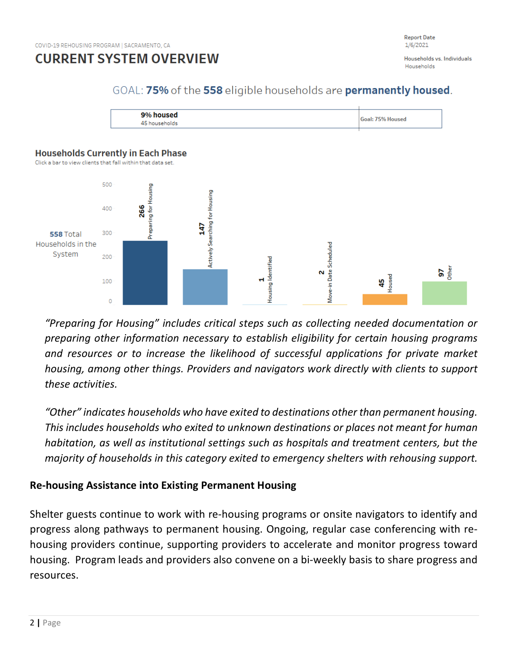

Households vs. Individuals Households

### GOAL: 75% of the 558 eligible households are permanently housed.



#### **Households Currently in Each Phase**

Click a bar to view clients that fall within that data set.



*"Preparing for Housing" includes critical steps such as collecting needed documentation or preparing other information necessary to establish eligibility for certain housing programs and resources or to increase the likelihood of successful applications for private market housing, among other things. Providers and navigators work directly with clients to support these activities.*

*"Other" indicates households who have exited to destinations other than permanent housing. This includes households who exited to unknown destinations or places not meant for human habitation, as well as institutional settings such as hospitals and treatment centers, but the majority of households in this category exited to emergency shelters with rehousing support.*

### **Re-housing Assistance into Existing Permanent Housing**

Shelter guests continue to work with re-housing programs or onsite navigators to identify and progress along pathways to permanent housing. Ongoing, regular case conferencing with rehousing providers continue, supporting providers to accelerate and monitor progress toward housing. Program leads and providers also convene on a bi-weekly basis to share progress and resources.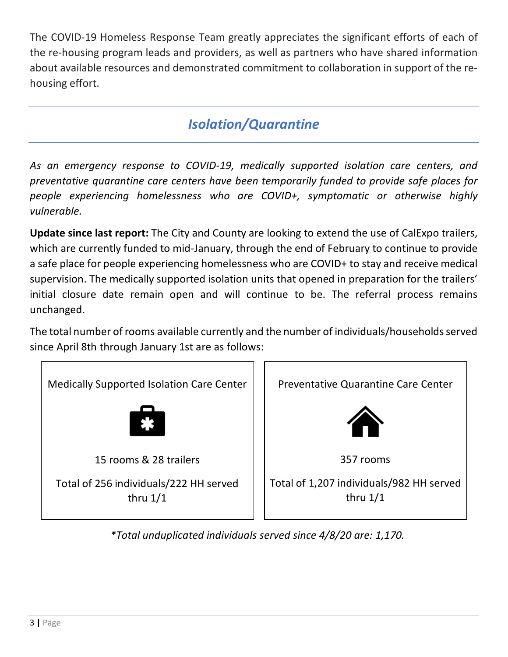The COVID-19 Homeless Response Team greatly appreciates the significant efforts of each of the re-housing program leads and providers, as well as partners who have shared information about available resources and demonstrated commitment to collaboration in support of the rehousing effort.

# *Isolation/Quarantine*

*As an emergency response to COVID-19, medically supported isolation care centers, and preventative quarantine care centers have been temporarily funded to provide safe places for people experiencing homelessness who are COVID+, symptomatic or otherwise highly vulnerable.*

**Update since last report:** The City and County are looking to extend the use of CalExpo trailers, which are currently funded to mid-January, through the end of February to continue to provide a safe place for people experiencing homelessness who are COVID+ to stay and receive medical supervision. The medically supported isolation units that opened in preparation for the trailers' initial closure date remain open and will continue to be. The referral process remains unchanged.

The total number of rooms available currently and the number of individuals/households served since April 8th through January 1st are as follows:



*\*Total unduplicated individuals served since 4/8/20 are: 1,170.*